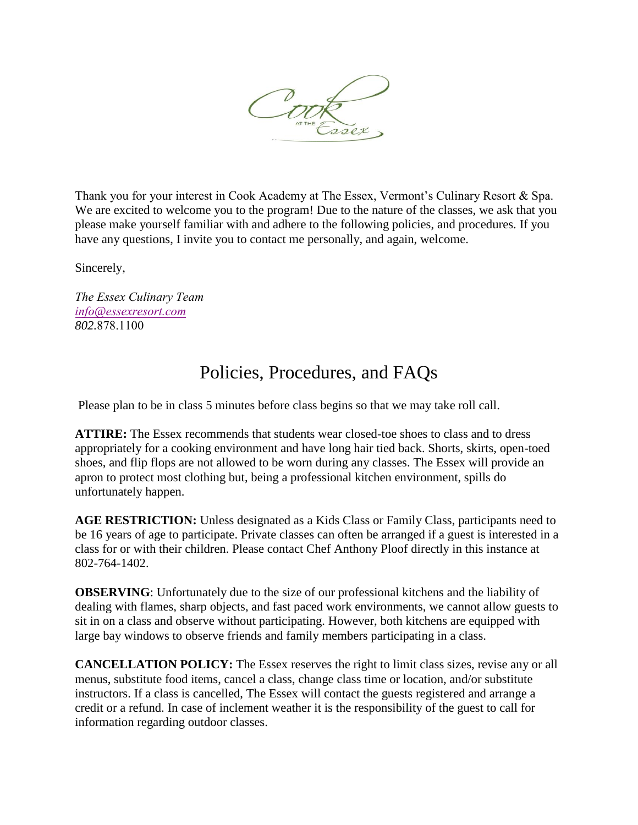

Thank you for your interest in Cook Academy at The Essex, Vermont's Culinary Resort & Spa. We are excited to welcome you to the program! Due to the nature of the classes, we ask that you please make yourself familiar with and adhere to the following policies, and procedures. If you have any questions, I invite you to contact me personally, and again, welcome.

Sincerely,

*The Essex Culinary Team info@[essexresort.com](mailto:anthonys@vtculinaryresort.com) 802.*878.1100

## Policies, Procedures, and FAQs

Please plan to be in class 5 minutes before class begins so that we may take roll call.

**ATTIRE:** The Essex recommends that students wear closed-toe shoes to class and to dress appropriately for a cooking environment and have long hair tied back. Shorts, skirts, open-toed shoes, and flip flops are not allowed to be worn during any classes. The Essex will provide an apron to protect most clothing but, being a professional kitchen environment, spills do unfortunately happen.

**AGE RESTRICTION:** Unless designated as a Kids Class or Family Class, participants need to be 16 years of age to participate. Private classes can often be arranged if a guest is interested in a class for or with their children. Please contact Chef Anthony Ploof directly in this instance at 802-764-1402.

**OBSERVING**: Unfortunately due to the size of our professional kitchens and the liability of dealing with flames, sharp objects, and fast paced work environments, we cannot allow guests to sit in on a class and observe without participating. However, both kitchens are equipped with large bay windows to observe friends and family members participating in a class.

**CANCELLATION POLICY:** The Essex reserves the right to limit class sizes, revise any or all menus, substitute food items, cancel a class, change class time or location, and/or substitute instructors. If a class is cancelled, The Essex will contact the guests registered and arrange a credit or a refund. In case of inclement weather it is the responsibility of the guest to call for information regarding outdoor classes.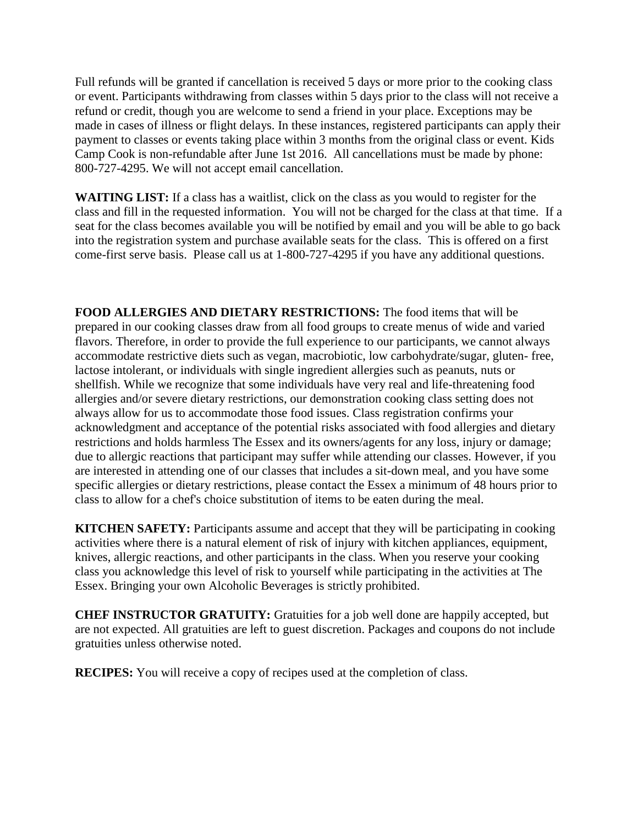Full refunds will be granted if cancellation is received 5 days or more prior to the cooking class or event. Participants withdrawing from classes within 5 days prior to the class will not receive a refund or credit, though you are welcome to send a friend in your place. Exceptions may be made in cases of illness or flight delays. In these instances, registered participants can apply their payment to classes or events taking place within 3 months from the original class or event. Kids Camp Cook is non-refundable after June 1st 2016. All cancellations must be made by phone: 800-727-4295. We will not accept email cancellation.

**WAITING LIST:** If a class has a waitlist, click on the class as you would to register for the class and fill in the requested information. You will not be charged for the class at that time. If a seat for the class becomes available you will be notified by email and you will be able to go back into the registration system and purchase available seats for the class. This is offered on a first come-first serve basis. Please call us at 1-800-727-4295 if you have any additional questions.

**FOOD ALLERGIES AND DIETARY RESTRICTIONS:** The food items that will be prepared in our cooking classes draw from all food groups to create menus of wide and varied flavors. Therefore, in order to provide the full experience to our participants, we cannot always accommodate restrictive diets such as vegan, macrobiotic, low carbohydrate/sugar, gluten- free, lactose intolerant, or individuals with single ingredient allergies such as peanuts, nuts or shellfish. While we recognize that some individuals have very real and life-threatening food allergies and/or severe dietary restrictions, our demonstration cooking class setting does not always allow for us to accommodate those food issues. Class registration confirms your acknowledgment and acceptance of the potential risks associated with food allergies and dietary restrictions and holds harmless The Essex and its owners/agents for any loss, injury or damage; due to allergic reactions that participant may suffer while attending our classes. However, if you are interested in attending one of our classes that includes a sit-down meal, and you have some specific allergies or dietary restrictions, please contact the Essex a minimum of 48 hours prior to class to allow for a chef's choice substitution of items to be eaten during the meal.

**KITCHEN SAFETY:** Participants assume and accept that they will be participating in cooking activities where there is a natural element of risk of injury with kitchen appliances, equipment, knives, allergic reactions, and other participants in the class. When you reserve your cooking class you acknowledge this level of risk to yourself while participating in the activities at The Essex. Bringing your own Alcoholic Beverages is strictly prohibited.

**CHEF INSTRUCTOR GRATUITY:** Gratuities for a job well done are happily accepted, but are not expected. All gratuities are left to guest discretion. Packages and coupons do not include gratuities unless otherwise noted.

**RECIPES:** You will receive a copy of recipes used at the completion of class.